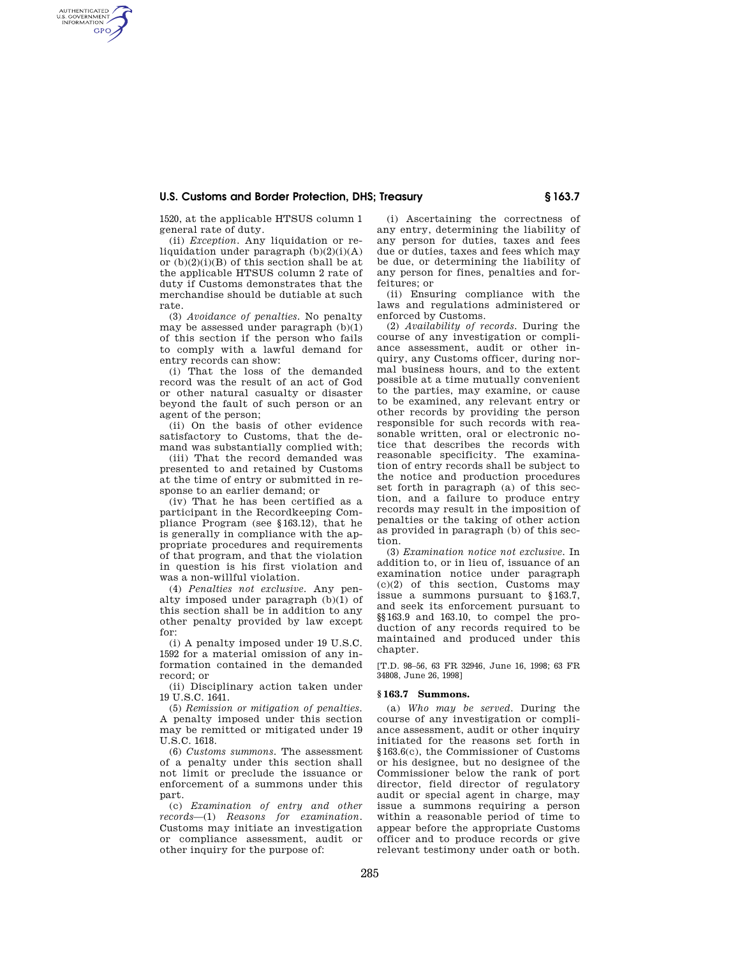## **U.S. Customs and Border Protection, DHS; Treasury § 163.7**

1520, at the applicable HTSUS column 1 general rate of duty.

AUTHENTICATED<br>U.S. GOVERNMENT<br>INFORMATION **GPO** 

> (ii) *Exception.* Any liquidation or reliquidation under paragraph  $(b)(2)(i)(A)$ or  $(b)(2)(i)(B)$  of this section shall be at the applicable HTSUS column 2 rate of duty if Customs demonstrates that the merchandise should be dutiable at such rate.

> (3) *Avoidance of penalties.* No penalty may be assessed under paragraph  $(b)(1)$ of this section if the person who fails to comply with a lawful demand for entry records can show:

> (i) That the loss of the demanded record was the result of an act of God or other natural casualty or disaster beyond the fault of such person or an agent of the person;

> (ii) On the basis of other evidence satisfactory to Customs, that the demand was substantially complied with;

> (iii) That the record demanded was presented to and retained by Customs at the time of entry or submitted in response to an earlier demand; or

> (iv) That he has been certified as a participant in the Recordkeeping Compliance Program (see §163.12), that he is generally in compliance with the appropriate procedures and requirements of that program, and that the violation in question is his first violation and was a non-willful violation.

> (4) *Penalties not exclusive.* Any penalty imposed under paragraph  $(b)(1)$  of this section shall be in addition to any other penalty provided by law except for:

> (i) A penalty imposed under 19 U.S.C. 1592 for a material omission of any information contained in the demanded record; or

> (ii) Disciplinary action taken under 19 U.S.C. 1641.

> (5) *Remission or mitigation of penalties.*  A penalty imposed under this section may be remitted or mitigated under 19 U.S.C. 1618.

> (6) *Customs summons.* The assessment of a penalty under this section shall not limit or preclude the issuance or enforcement of a summons under this part.

> (c) *Examination of entry and other records*—(1) *Reasons for examination.*  Customs may initiate an investigation or compliance assessment, audit or other inquiry for the purpose of:

(i) Ascertaining the correctness of any entry, determining the liability of any person for duties, taxes and fees due or duties, taxes and fees which may be due, or determining the liability of any person for fines, penalties and forfeitures; or

(ii) Ensuring compliance with the laws and regulations administered or enforced by Customs.

(2) *Availability of records.* During the course of any investigation or compliance assessment, audit or other inquiry, any Customs officer, during normal business hours, and to the extent possible at a time mutually convenient to the parties, may examine, or cause to be examined, any relevant entry or other records by providing the person responsible for such records with reasonable written, oral or electronic notice that describes the records with reasonable specificity. The examination of entry records shall be subject to the notice and production procedures set forth in paragraph (a) of this section, and a failure to produce entry records may result in the imposition of penalties or the taking of other action as provided in paragraph (b) of this section.

(3) *Examination notice not exclusive.* In addition to, or in lieu of, issuance of an examination notice under paragraph  $(c)(2)$  of this section, Customs may issue a summons pursuant to §163.7, and seek its enforcement pursuant to §§163.9 and 163.10, to compel the production of any records required to be maintained and produced under this chapter.

[T.D. 98–56, 63 FR 32946, June 16, 1998; 63 FR 34808, June 26, 1998]

## **§ 163.7 Summons.**

(a) *Who may be served.* During the course of any investigation or compliance assessment, audit or other inquiry initiated for the reasons set forth in §163.6(c), the Commissioner of Customs or his designee, but no designee of the Commissioner below the rank of port director, field director of regulatory audit or special agent in charge, may issue a summons requiring a person within a reasonable period of time to appear before the appropriate Customs officer and to produce records or give relevant testimony under oath or both.